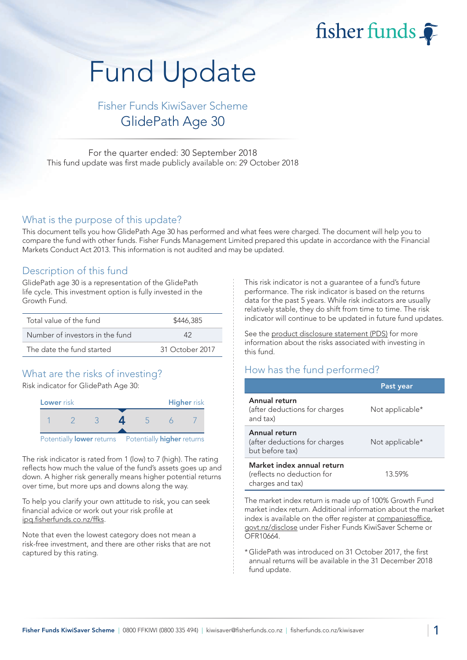fisher funds

# Fund Update

Fisher Funds KiwiSaver Scheme GlidePath Age 30

For the quarter ended: 30 September 2018 This fund update was first made publicly available on: 29 October 2018

#### What is the purpose of this update?

This document tells you how GlidePath Age 30 has performed and what fees were charged. The document will help you to compare the fund with other funds. Fisher Funds Management Limited prepared this update in accordance with the Financial Markets Conduct Act 2013. This information is not audited and may be updated.

#### Description of this fund

GlidePath age 30 is a representation of the GlidePath life cycle. This investment option is fully invested in the Growth Fund.

| Total value of the fund         | \$446,385       |  |
|---------------------------------|-----------------|--|
| Number of investors in the fund | 12              |  |
| The date the fund started       | 31 October 2017 |  |

## What are the risks of investing?

Risk indicator for GlidePath Age 30:



The risk indicator is rated from 1 (low) to 7 (high). The rating reflects how much the value of the fund's assets goes up and down. A higher risk generally means higher potential returns over time, but more ups and downs along the way.

To help you clarify your own attitude to risk, you can seek financial advice or work out your risk profile at [ipq.fisherfunds.co.nz/ffks.](https://ipq.fisherfunds.co.nz/ffks)

Note that even the lowest category does not mean a risk-free investment, and there are other risks that are not captured by this rating.

This risk indicator is not a guarantee of a fund's future performance. The risk indicator is based on the returns data for the past 5 years. While risk indicators are usually relatively stable, they do shift from time to time. The risk indicator will continue to be updated in future fund updates.

See the [product disclosure statement \(PDS\)](https://fisherfunds.co.nz/assets/PDS/Fisher-Funds-KiwiSaver-Scheme-PDS.pdf) for more information about the risks associated with investing in this fund.

## How has the fund performed?

|                                                                              | Past year       |
|------------------------------------------------------------------------------|-----------------|
| Annual return<br>(after deductions for charges<br>and tax)                   | Not applicable* |
| Annual return<br>(after deductions for charges<br>but before tax)            | Not applicable* |
| Market index annual return<br>(reflects no deduction for<br>charges and tax) | 13.59%          |

The market index return is made up of 100% Growth Fund market index return. Additional information about the market index is available on the offer register at [companiesoffice.](http://companiesoffice.govt.nz/disclose) [govt.nz/disclose](http://companiesoffice.govt.nz/disclose) under Fisher Funds KiwiSaver Scheme or OFR10664.

\*GlidePath was introduced on 31 October 2017, the first annual returns will be available in the 31 December 2018 fund update.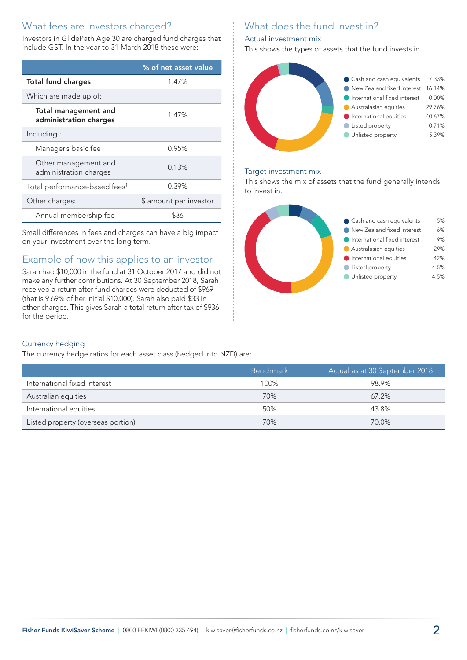# What fees are investors charged?

Investors in GlidePath Age 30 are charged fund charges that include GST. In the year to 31 March 2018 these were:

|                                                       | % of net asset value   |
|-------------------------------------------------------|------------------------|
| <b>Total fund charges</b>                             | 1.47%                  |
| Which are made up of:                                 |                        |
| <b>Total management and</b><br>administration charges | 1.47%                  |
| Including:                                            |                        |
| Manager's basic fee                                   | 0.95%                  |
| Other management and<br>administration charges        | 0.13%                  |
| Total performance-based fees <sup>1</sup>             | 0.39%                  |
| Other charges:                                        | \$ amount per investor |
| Annual membership fee                                 |                        |

Small differences in fees and charges can have a big impact on your investment over the long term.

# Example of how this applies to an investor

Sarah had \$10,000 in the fund at 31 October 2017 and did not make any further contributions. At 30 September 2018, Sarah received a return after fund charges were deducted of \$969 (that is 9.69% of her initial \$10,000). Sarah also paid \$33 in other charges. This gives Sarah a total return after tax of \$936 for the period.

# What does the fund invest in?

#### Actual investment mix

This shows the types of assets that the fund invests in.



#### Target investment mix

This shows the mix of assets that the fund generally intends to invest in.



#### Currency hedging

The currency hedge ratios for each asset class (hedged into NZD) are:

|                                    | <b>Benchmark</b> | Actual as at 30 September 2018 |
|------------------------------------|------------------|--------------------------------|
| International fixed interest       | 100%             | 98.9%                          |
| Australian equities                | 70%              | $67.2\%$                       |
| International equities             | 50%              | 43.8%                          |
| Listed property (overseas portion) | 70%              | 70.0%                          |